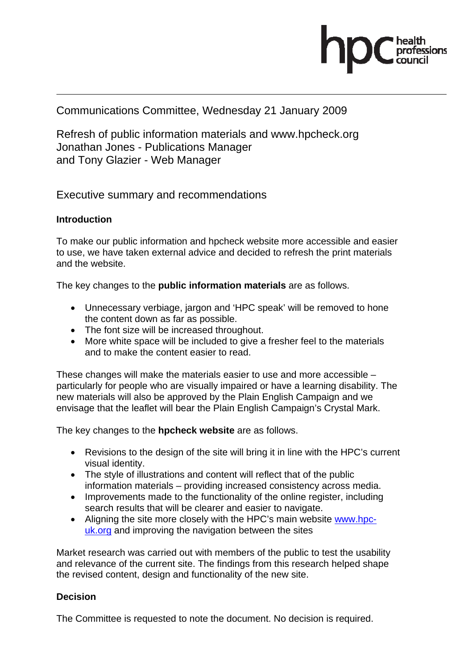

### Communications Committee, Wednesday 21 January 2009

Refresh of public information materials and www.hpcheck.org Jonathan Jones - Publications Manager and Tony Glazier - Web Manager

Executive summary and recommendations

### **Introduction**

To make our public information and hpcheck website more accessible and easier to use, we have taken external advice and decided to refresh the print materials and the website.

The key changes to the **public information materials** are as follows.

- Unnecessary verbiage, jargon and 'HPC speak' will be removed to hone the content down as far as possible.
- The font size will be increased throughout.
- More white space will be included to give a fresher feel to the materials and to make the content easier to read.

These changes will make the materials easier to use and more accessible – particularly for people who are visually impaired or have a learning disability. The new materials will also be approved by the Plain English Campaign and we envisage that the leaflet will bear the Plain English Campaign's Crystal Mark.

The key changes to the **hpcheck website** are as follows.

- Revisions to the design of the site will bring it in line with the HPC's current visual identity.
- The style of illustrations and content will reflect that of the public information materials – providing increased consistency across media.
- Improvements made to the functionality of the online register, including search results that will be clearer and easier to navigate.
- Aligning the site more closely with the HPC's main website www.hpcuk.org and improving the navigation between the sites

Market research was carried out with members of the public to test the usability and relevance of the current site. The findings from this research helped shape the revised content, design and functionality of the new site.

#### **Decision**

The Committee is requested to note the document. No decision is required.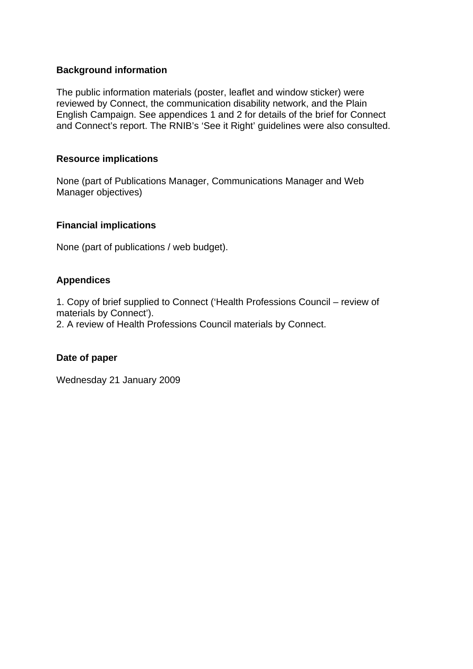### **Background information**

The public information materials (poster, leaflet and window sticker) were reviewed by Connect, the communication disability network, and the Plain English Campaign. See appendices 1 and 2 for details of the brief for Connect and Connect's report. The RNIB's 'See it Right' guidelines were also consulted.

#### **Resource implications**

None (part of Publications Manager, Communications Manager and Web Manager objectives)

#### **Financial implications**

None (part of publications / web budget).

### **Appendices**

1. Copy of brief supplied to Connect ('Health Professions Council – review of materials by Connect').

2. A review of Health Professions Council materials by Connect.

#### **Date of paper**

Wednesday 21 January 2009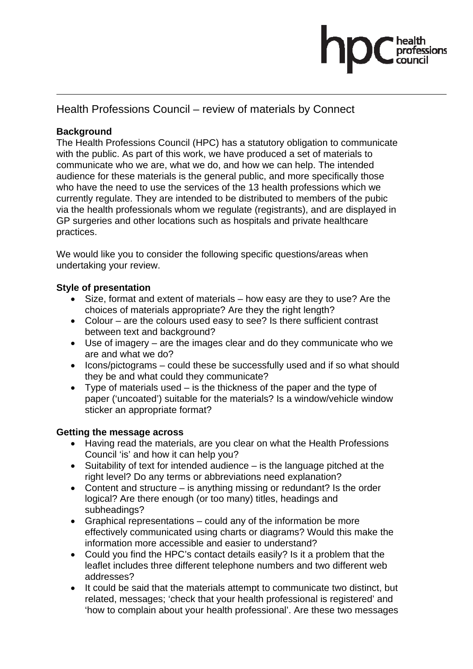

### Health Professions Council – review of materials by Connect

### **Background**

The Health Professions Council (HPC) has a statutory obligation to communicate with the public. As part of this work, we have produced a set of materials to communicate who we are, what we do, and how we can help. The intended audience for these materials is the general public, and more specifically those who have the need to use the services of the 13 health professions which we currently regulate. They are intended to be distributed to members of the pubic via the health professionals whom we regulate (registrants), and are displayed in GP surgeries and other locations such as hospitals and private healthcare practices.

We would like you to consider the following specific questions/areas when undertaking your review.

### **Style of presentation**

- Size, format and extent of materials how easy are they to use? Are the choices of materials appropriate? Are they the right length?
- Colour are the colours used easy to see? Is there sufficient contrast between text and background?
- Use of imagery are the images clear and do they communicate who we are and what we do?
- Icons/pictograms could these be successfully used and if so what should they be and what could they communicate?
- Type of materials used is the thickness of the paper and the type of paper ('uncoated') suitable for the materials? Is a window/vehicle window sticker an appropriate format?

#### **Getting the message across**

- Having read the materials, are you clear on what the Health Professions Council 'is' and how it can help you?
- Suitability of text for intended audience is the language pitched at the right level? Do any terms or abbreviations need explanation?
- Content and structure is anything missing or redundant? Is the order logical? Are there enough (or too many) titles, headings and subheadings?
- Graphical representations could any of the information be more effectively communicated using charts or diagrams? Would this make the information more accessible and easier to understand?
- Could you find the HPC's contact details easily? Is it a problem that the leaflet includes three different telephone numbers and two different web addresses?
- It could be said that the materials attempt to communicate two distinct, but related, messages; 'check that your health professional is registered' and 'how to complain about your health professional'. Are these two messages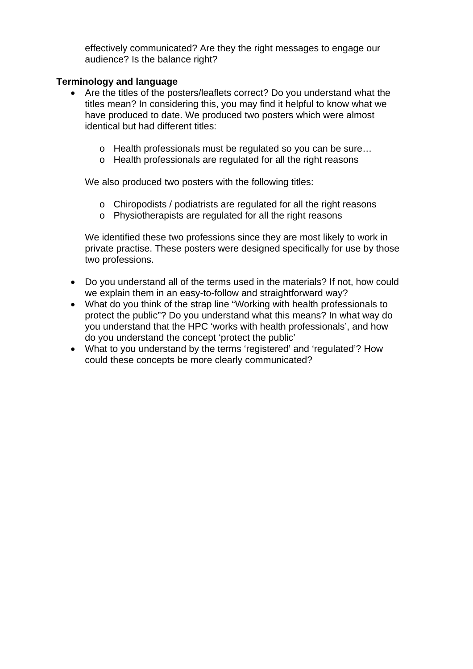effectively communicated? Are they the right messages to engage our audience? Is the balance right?

### **Terminology and language**

- Are the titles of the posters/leaflets correct? Do you understand what the titles mean? In considering this, you may find it helpful to know what we have produced to date. We produced two posters which were almost identical but had different titles:
	- o Health professionals must be regulated so you can be sure…
	- o Health professionals are regulated for all the right reasons

We also produced two posters with the following titles:

- o Chiropodists / podiatrists are regulated for all the right reasons
- o Physiotherapists are regulated for all the right reasons

We identified these two professions since they are most likely to work in private practise. These posters were designed specifically for use by those two professions.

- Do you understand all of the terms used in the materials? If not, how could we explain them in an easy-to-follow and straightforward way?
- What do you think of the strap line "Working with health professionals to protect the public"? Do you understand what this means? In what way do you understand that the HPC 'works with health professionals', and how do you understand the concept 'protect the public'
- What to you understand by the terms 'registered' and 'regulated'? How could these concepts be more clearly communicated?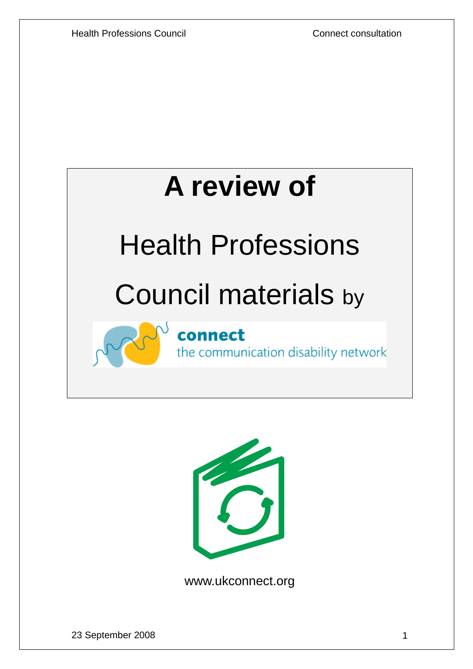

# Health Professions

# Council materials by

connect the communication disability network



www.ukconnect.org

23 September 2008 1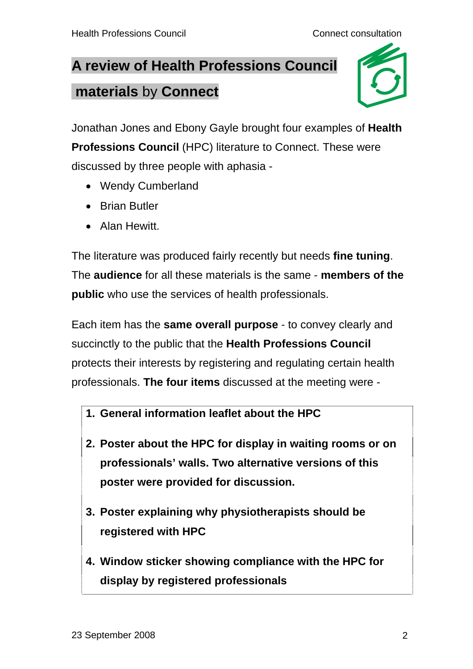# **A review of Health Professions Council materials** by **Connect**



Jonathan Jones and Ebony Gayle brought four examples of **Health Professions Council** (HPC) literature to Connect. These were discussed by three people with aphasia -

- Wendy Cumberland
- Brian Butler
- Alan Hewitt.

The literature was produced fairly recently but needs **fine tuning**. The **audience** for all these materials is the same - **members of the public** who use the services of health professionals.

Each item has the **same overall purpose** - to convey clearly and succinctly to the public that the **Health Professions Council** protects their interests by registering and regulating certain health professionals. **The four items** discussed at the meeting were -

- **1. General information leaflet about the HPC**
- **2. Poster about the HPC for display in waiting rooms or on professionals' walls. Two alternative versions of this poster were provided for discussion.**
- **3. Poster explaining why physiotherapists should be registered with HPC**
- **4. Window sticker showing compliance with the HPC for display by registered professionals**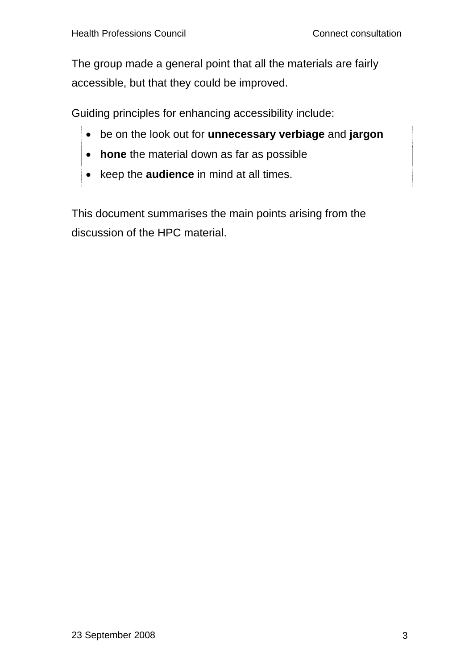The group made a general point that all the materials are fairly accessible, but that they could be improved.

Guiding principles for enhancing accessibility include:

- be on the look out for **unnecessary verbiage** and **jargon**
- **hone** the material down as far as possible
- keep the **audience** in mind at all times.

This document summarises the main points arising from the discussion of the HPC material.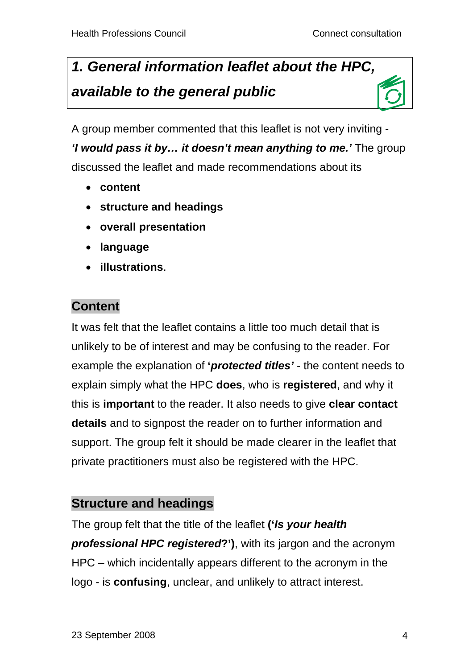# *1. General information leaflet about the HPC, available to the general public*

A group member commented that this leaflet is not very inviting - *'I would pass it by… it doesn't mean anything to me.'* The group discussed the leaflet and made recommendations about its

- **content**
- **structure and headings**
- **overall presentation**
- **language**
- **illustrations**.

## **Content**

It was felt that the leaflet contains a little too much detail that is unlikely to be of interest and may be confusing to the reader. For example the explanation of **'***protected titles'* - the content needs to explain simply what the HPC **does**, who is **registered**, and why it this is **important** to the reader. It also needs to give **clear contact details** and to signpost the reader on to further information and support. The group felt it should be made clearer in the leaflet that private practitioners must also be registered with the HPC.

### **Structure and headings**

The group felt that the title of the leaflet **('***Is your health professional HPC registered***?')**, with its jargon and the acronym HPC – which incidentally appears different to the acronym in the logo - is **confusing**, unclear, and unlikely to attract interest.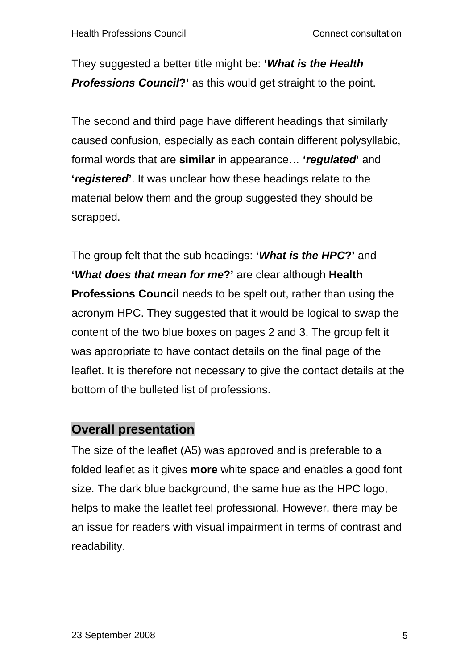They suggested a better title might be: **'***What is the Health Professions Council***?'** as this would get straight to the point.

The second and third page have different headings that similarly caused confusion, especially as each contain different polysyllabic, formal words that are **similar** in appearance… **'***regulated***'** and **'***registered***'**. It was unclear how these headings relate to the material below them and the group suggested they should be scrapped.

The group felt that the sub headings: **'***What is the HPC***?'** and **'***What does that mean for me***?'** are clear although **Health Professions Council** needs to be spelt out, rather than using the acronym HPC. They suggested that it would be logical to swap the content of the two blue boxes on pages 2 and 3. The group felt it was appropriate to have contact details on the final page of the leaflet. It is therefore not necessary to give the contact details at the bottom of the bulleted list of professions.

### **Overall presentation**

The size of the leaflet (A5) was approved and is preferable to a folded leaflet as it gives **more** white space and enables a good font size. The dark blue background, the same hue as the HPC logo, helps to make the leaflet feel professional. However, there may be an issue for readers with visual impairment in terms of contrast and readability.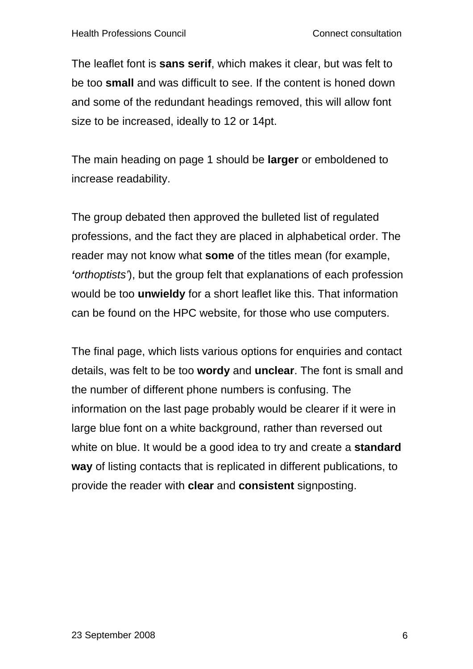The leaflet font is **sans serif**, which makes it clear, but was felt to be too **small** and was difficult to see. If the content is honed down and some of the redundant headings removed, this will allow font size to be increased, ideally to 12 or 14pt.

The main heading on page 1 should be **larger** or emboldened to increase readability.

The group debated then approved the bulleted list of regulated professions, and the fact they are placed in alphabetical order. The reader may not know what **some** of the titles mean (for example, *'orthoptists'*), but the group felt that explanations of each profession would be too **unwieldy** for a short leaflet like this. That information can be found on the HPC website, for those who use computers.

The final page, which lists various options for enquiries and contact details, was felt to be too **wordy** and **unclear**. The font is small and the number of different phone numbers is confusing. The information on the last page probably would be clearer if it were in large blue font on a white background, rather than reversed out white on blue. It would be a good idea to try and create a **standard way** of listing contacts that is replicated in different publications, to provide the reader with **clear** and **consistent** signposting.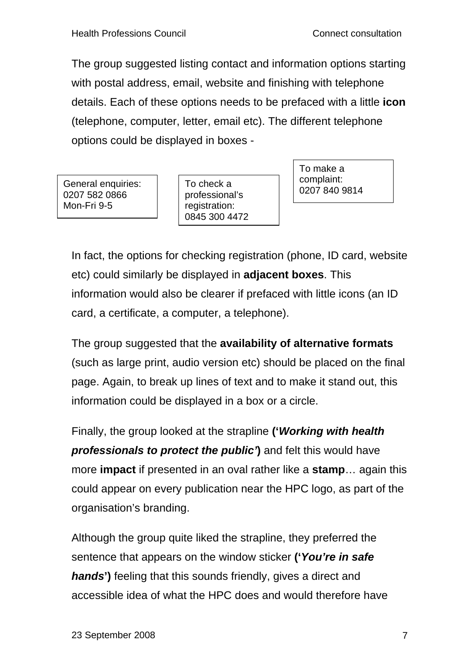The group suggested listing contact and information options starting with postal address, email, website and finishing with telephone details. Each of these options needs to be prefaced with a little **icon**  (telephone, computer, letter, email etc). The different telephone options could be displayed in boxes -

0207 840 9814 General enquiries: 0207 582 0866 Mon-Fri 9-5

To check a professional's registration: 0845 300 4472 To make a complaint:

In fact, the options for checking registration (phone, ID card, website etc) could similarly be displayed in **adjacent boxes**. This information would also be clearer if prefaced with little icons (an ID card, a certificate, a computer, a telephone).

The group suggested that the **availability of alternative formats** (such as large print, audio version etc) should be placed on the final page. Again, to break up lines of text and to make it stand out, this information could be displayed in a box or a circle.

Finally, the group looked at the strapline **('***Working with health professionals to protect the public'***)** and felt this would have more **impact** if presented in an oval rather like a **stamp**… again this could appear on every publication near the HPC logo, as part of the organisation's branding.

Although the group quite liked the strapline, they preferred the sentence that appears on the window sticker **('***You're in safe hands***')** feeling that this sounds friendly, gives a direct and accessible idea of what the HPC does and would therefore have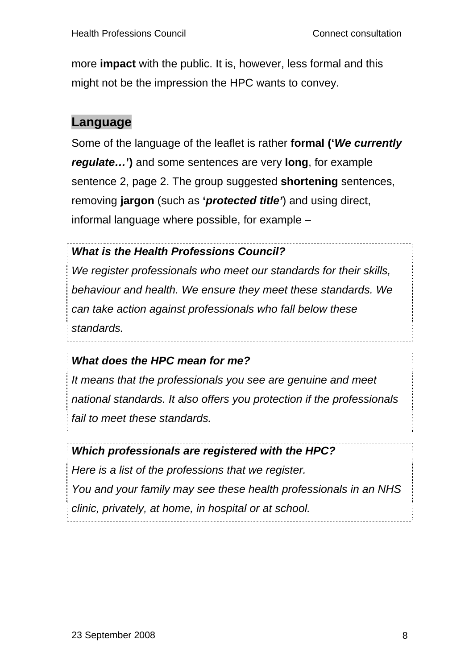more **impact** with the public. It is, however, less formal and this might not be the impression the HPC wants to convey.

### **Language**

Some of the language of the leaflet is rather **formal ('***We currently regulate…***')** and some sentences are very **long**, for example sentence 2, page 2. The group suggested **shortening** sentences, removing **jargon** (such as **'***protected title'*) and using direct, informal language where possible, for example –

### *What is the Health Professions Council?*

*We register professionals who meet our standards for their skills, behaviour and health. We ensure they meet these standards. We can take action against professionals who fall below these standards.* 

### *What does the HPC mean for me?*

*It means that the professionals you see are genuine and meet national standards. It also offers you protection if the professionals fail to meet these standards.* 

### *Which professionals are registered with the HPC?*

*Here is a list of the professions that we register. You and your family may see these health professionals in an NHS clinic, privately, at home, in hospital or at school.*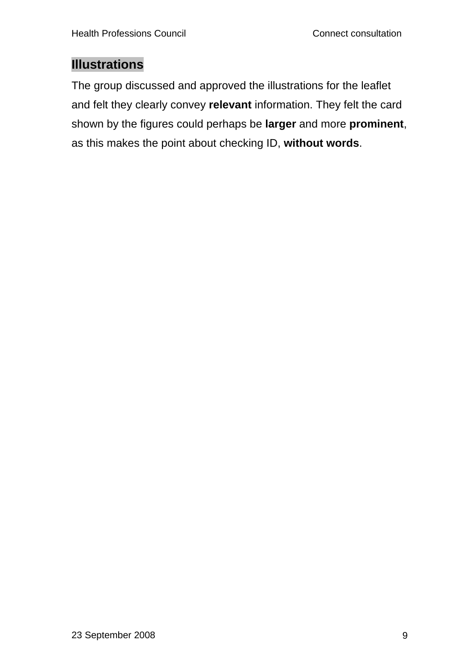### **Illustrations**

The group discussed and approved the illustrations for the leaflet and felt they clearly convey **relevant** information. They felt the card shown by the figures could perhaps be **larger** and more **prominent**, as this makes the point about checking ID, **without words**.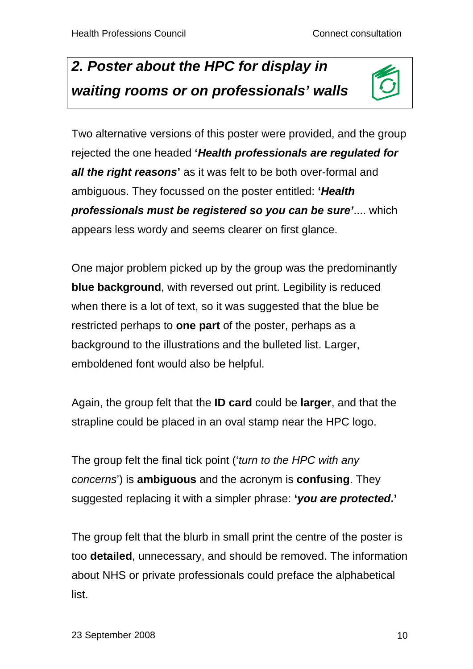# *2. Poster about the HPC for display in waiting rooms or on professionals' walls*



Two alternative versions of this poster were provided, and the group rejected the one headed **'***Health professionals are regulated for*  **all the right reasons'** as it was felt to be both over-formal and ambiguous. They focussed on the poster entitled: **'***Health professionals must be registered so you can be sure'*.... which appears less wordy and seems clearer on first glance.

One major problem picked up by the group was the predominantly **blue background**, with reversed out print. Legibility is reduced when there is a lot of text, so it was suggested that the blue be restricted perhaps to **one part** of the poster, perhaps as a background to the illustrations and the bulleted list. Larger, emboldened font would also be helpful.

Again, the group felt that the **ID card** could be **larger**, and that the strapline could be placed in an oval stamp near the HPC logo.

The group felt the final tick point ('*turn to the HPC with any concerns*') is **ambiguous** and the acronym is **confusing**. They suggested replacing it with a simpler phrase: **'***you are protected***.'**

The group felt that the blurb in small print the centre of the poster is too **detailed**, unnecessary, and should be removed. The information about NHS or private professionals could preface the alphabetical list.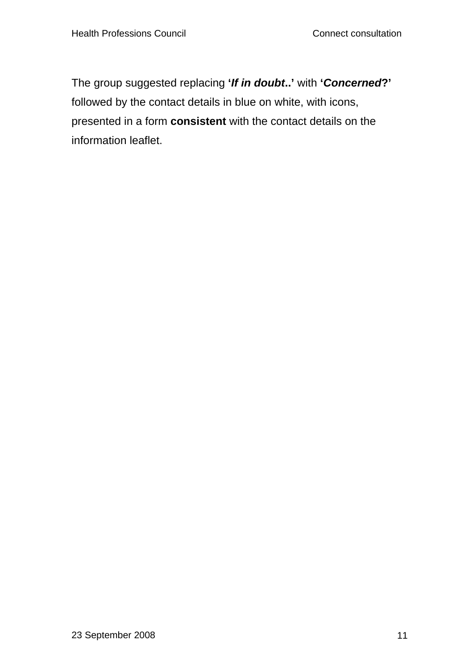The group suggested replacing **'***If in doubt***..'** with **'***Concerned***?'** followed by the contact details in blue on white, with icons, presented in a form **consistent** with the contact details on the information leaflet.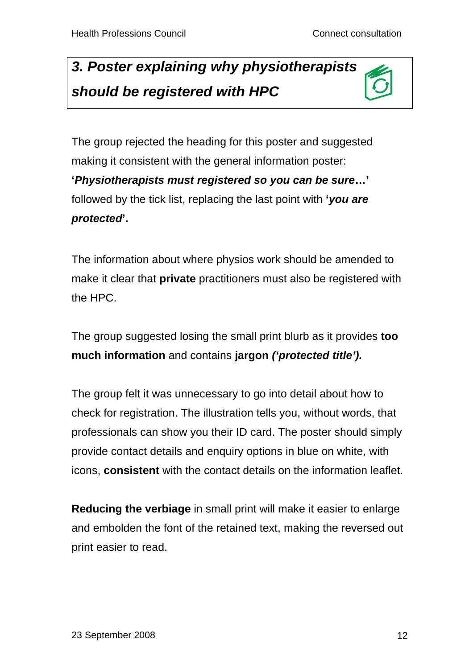# *3. Poster explaining why physiotherapists should be registered with HPC*



The group rejected the heading for this poster and suggested making it consistent with the general information poster: **'***Physiotherapists must registered so you can be sure***…'** followed by the tick list, replacing the last point with **'***you are protected***'.** 

The information about where physios work should be amended to make it clear that **private** practitioners must also be registered with the HPC.

The group suggested losing the small print blurb as it provides **too much information** and contains **jargon** *('protected title').*

The group felt it was unnecessary to go into detail about how to check for registration. The illustration tells you, without words, that professionals can show you their ID card. The poster should simply provide contact details and enquiry options in blue on white, with icons, **consistent** with the contact details on the information leaflet.

**Reducing the verbiage** in small print will make it easier to enlarge and embolden the font of the retained text, making the reversed out print easier to read.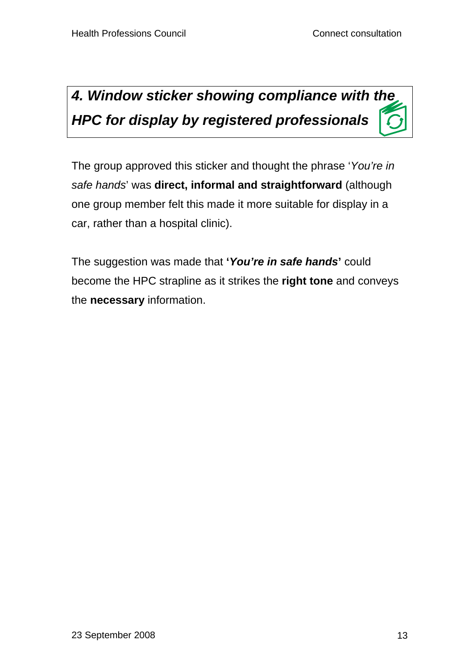# *4. Window sticker showing compliance with the HPC for display by registered professionals*

The group approved this sticker and thought the phrase '*You're in safe hands*' was **direct, informal and straightforward** (although one group member felt this made it more suitable for display in a car, rather than a hospital clinic).

The suggestion was made that **'***You're in safe hands***'** could become the HPC strapline as it strikes the **right tone** and conveys the **necessary** information.